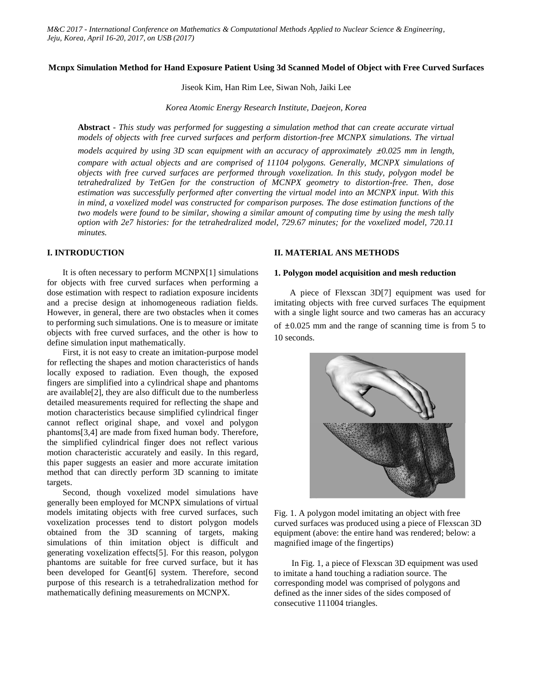### **Mcnpx Simulation Method for Hand Exposure Patient Using 3d Scanned Model of Object with Free Curved Surfaces**

Jiseok Kim, Han Rim Lee, Siwan Noh, Jaiki Lee

*Korea Atomic Energy Research Institute, Daejeon, Korea*

**Abstract** *- This study was performed for suggesting a simulation method that can create accurate virtual models of objects with free curved surfaces and perform distortion-free MCNPX simulations. The virtual* 

*models acquired by using 3D scan equipment with an accuracy of approximately*  $\pm 0.025$  *mm in length, compare with actual objects and are comprised of 11104 polygons. Generally, MCNPX simulations of objects with free curved surfaces are performed through voxelization. In this study, polygon model be tetrahedralized by TetGen for the construction of MCNPX geometry to distortion-free. Then, dose estimation was successfully performed after converting the virtual model into an MCNPX input. With this in mind, a voxelized model was constructed for comparison purposes. The dose estimation functions of the two models were found to be similar, showing a similar amount of computing time by using the mesh tally option with 2e7 histories: for the tetrahedralized model, 729.67 minutes; for the voxelized model, 720.11 minutes.*

# **I. INTRODUCTION**

It is often necessary to perform MCNPX[1] simulations for objects with free curved surfaces when performing a dose estimation with respect to radiation exposure incidents and a precise design at inhomogeneous radiation fields. However, in general, there are two obstacles when it comes to performing such simulations. One is to measure or imitate objects with free curved surfaces, and the other is how to define simulation input mathematically.

First, it is not easy to create an imitation-purpose model for reflecting the shapes and motion characteristics of hands locally exposed to radiation. Even though, the exposed fingers are simplified into a cylindrical shape and phantoms are available[2], they are also difficult due to the numberless detailed measurements required for reflecting the shape and motion characteristics because simplified cylindrical finger cannot reflect original shape, and voxel and polygon phantoms[3,4] are made from fixed human body. Therefore, the simplified cylindrical finger does not reflect various motion characteristic accurately and easily. In this regard, this paper suggests an easier and more accurate imitation method that can directly perform 3D scanning to imitate targets.

Second, though voxelized model simulations have generally been employed for MCNPX simulations of virtual models imitating objects with free curved surfaces, such voxelization processes tend to distort polygon models obtained from the 3D scanning of targets, making simulations of thin imitation object is difficult and generating voxelization effects[5]. For this reason, polygon phantoms are suitable for free curved surface, but it has been developed for Geant[6] system. Therefore, second purpose of this research is a tetrahedralization method for mathematically defining measurements on MCNPX.

# **II. MATERIAL ANS METHODS**

## **1. Polygon model acquisition and mesh reduction**

A piece of Flexscan 3D[7] equipment was used for imitating objects with free curved surfaces The equipment with a single light source and two cameras has an accuracy

of  $\pm 0.025$  mm and the range of scanning time is from 5 to 10 seconds.



Fig. 1. A polygon model imitating an object with free curved surfaces was produced using a piece of Flexscan 3D equipment (above: the entire hand was rendered; below: a magnified image of the fingertips)

In Fig. 1, a piece of Flexscan 3D equipment was used to imitate a hand touching a radiation source. The corresponding model was comprised of polygons and defined as the inner sides of the sides composed of consecutive 111004 triangles.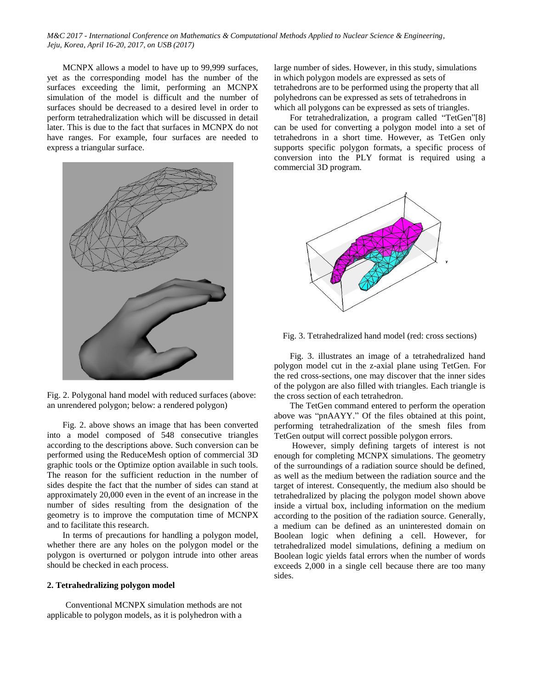MCNPX allows a model to have up to 99,999 surfaces, yet as the corresponding model has the number of the surfaces exceeding the limit, performing an MCNPX simulation of the model is difficult and the number of surfaces should be decreased to a desired level in order to perform tetrahedralization which will be discussed in detail later. This is due to the fact that surfaces in MCNPX do not have ranges. For example, four surfaces are needed to express a triangular surface.



Fig. 2. Polygonal hand model with reduced surfaces (above: an unrendered polygon; below: a rendered polygon)

Fig. 2. above shows an image that has been converted into a model composed of 548 consecutive triangles according to the descriptions above. Such conversion can be performed using the ReduceMesh option of commercial 3D graphic tools or the Optimize option available in such tools. The reason for the sufficient reduction in the number of sides despite the fact that the number of sides can stand at approximately 20,000 even in the event of an increase in the number of sides resulting from the designation of the geometry is to improve the computation time of MCNPX and to facilitate this research.

In terms of precautions for handling a polygon model, whether there are any holes on the polygon model or the polygon is overturned or polygon intrude into other areas should be checked in each process.

#### **2. Tetrahedralizing polygon model**

Conventional MCNPX simulation methods are not applicable to polygon models, as it is polyhedron with a large number of sides. However, in this study, simulations in which polygon models are expressed as sets of tetrahedrons are to be performed using the property that all polyhedrons can be expressed as sets of tetrahedrons in which all polygons can be expressed as sets of triangles.

For tetrahedralization, a program called "TetGen"[8] can be used for converting a polygon model into a set of tetrahedrons in a short time. However, as TetGen only supports specific polygon formats, a specific process of conversion into the PLY format is required using a commercial 3D program.



Fig. 3. Tetrahedralized hand model (red: cross sections)

Fig. 3. illustrates an image of a tetrahedralized hand polygon model cut in the z-axial plane using TetGen. For the red cross-sections, one may discover that the inner sides of the polygon are also filled with triangles. Each triangle is the cross section of each tetrahedron.

The TetGen command entered to perform the operation above was "pnAAYY." Of the files obtained at this point, performing tetrahedralization of the smesh files from TetGen output will correct possible polygon errors.

However, simply defining targets of interest is not enough for completing MCNPX simulations. The geometry of the surroundings of a radiation source should be defined, as well as the medium between the radiation source and the target of interest. Consequently, the medium also should be tetrahedralized by placing the polygon model shown above inside a virtual box, including information on the medium according to the position of the radiation source. Generally, a medium can be defined as an uninterested domain on Boolean logic when defining a cell. However, for tetrahedralized model simulations, defining a medium on Boolean logic yields fatal errors when the number of words exceeds 2,000 in a single cell because there are too many sides.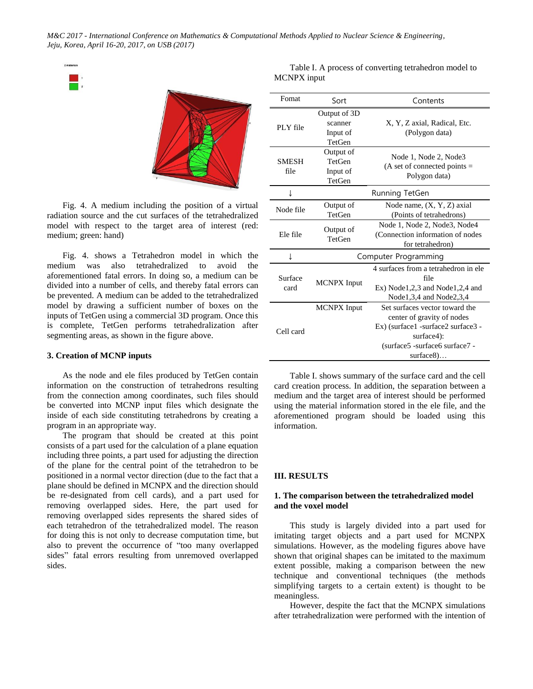

Fig. 4. A medium including the position of a virtual radiation source and the cut surfaces of the tetrahedralized model with respect to the target area of interest (red: medium; green: hand)

Fig. 4. shows a Tetrahedron model in which the medium was also tetrahedralized to avoid the aforementioned fatal errors. In doing so, a medium can be divided into a number of cells, and thereby fatal errors can be prevented. A medium can be added to the tetrahedralized model by drawing a sufficient number of boxes on the inputs of TetGen using a commercial 3D program. Once this is complete, TetGen performs tetrahedralization after segmenting areas, as shown in the figure above.

### **3. Creation of MCNP inputs**

As the node and ele files produced by TetGen contain information on the construction of tetrahedrons resulting from the connection among coordinates, such files should be converted into MCNP input files which designate the inside of each side constituting tetrahedrons by creating a program in an appropriate way.

The program that should be created at this point consists of a part used for the calculation of a plane equation including three points, a part used for adjusting the direction of the plane for the central point of the tetrahedron to be positioned in a normal vector direction (due to the fact that a plane should be defined in MCNPX and the direction should be re-designated from cell cards), and a part used for removing overlapped sides. Here, the part used for removing overlapped sides represents the shared sides of each tetrahedron of the tetrahedralized model. The reason for doing this is not only to decrease computation time, but also to prevent the occurrence of "too many overlapped sides" fatal errors resulting from unremoved overlapped sides.

| Fomat                | Sort                                             | Contents                                                                                                                                                        |
|----------------------|--------------------------------------------------|-----------------------------------------------------------------------------------------------------------------------------------------------------------------|
| PLY file             | Output of 3D<br>scanner<br>Input of<br>TetGen    | X, Y, Z axial, Radical, Etc.<br>(Polygon data)                                                                                                                  |
| <b>SMESH</b><br>file | Output of<br><b>TetGen</b><br>Input of<br>TetGen | Node 1, Node 2, Node3<br>$(A \text{ set of connected points} =$<br>Polygon data)                                                                                |
| T                    | Running TetGen                                   |                                                                                                                                                                 |
| Node file            | Output of<br>TetGen                              | Node name, $(X, Y, Z)$ axial<br>(Points of tetrahedrons)                                                                                                        |
| Ele file             | Output of<br>TetGen                              | Node 1, Node 2, Node3, Node4<br>(Connection information of nodes<br>for tetrahedron)                                                                            |
| T                    | Computer Programming                             |                                                                                                                                                                 |
| Surface<br>card      | <b>MCNPX</b> Input                               | 4 surfaces from a tetrahedron in ele<br>file<br>$Ex)$ Node 1, 2, 3 and Node 1, 2, 4 and<br>Node1,3,4 and Node2,3,4                                              |
| Cell card            | <b>MCNPX</b> Input                               | Set surfaces vector toward the<br>center of gravity of nodes<br>Ex) (surface1 -surface2 surface3 -<br>surface4):<br>(surface5 -surface6 surface7 -<br>surface8) |

Table I. A process of converting tetrahedron model to MCNPX input

Table I. shows summary of the surface card and the cell card creation process. In addition, the separation between a medium and the target area of interest should be performed using the material information stored in the ele file, and the aforementioned program should be loaded using this information.

#### **III. RESULTS**

## **1. The comparison between the tetrahedralized model and the voxel model**

This study is largely divided into a part used for imitating target objects and a part used for MCNPX simulations. However, as the modeling figures above have shown that original shapes can be imitated to the maximum extent possible, making a comparison between the new technique and conventional techniques (the methods simplifying targets to a certain extent) is thought to be meaningless.

However, despite the fact that the MCNPX simulations after tetrahedralization were performed with the intention of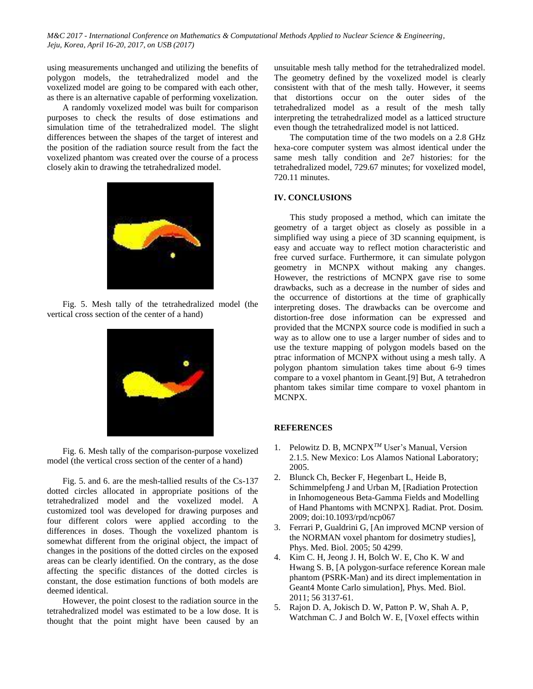using measurements unchanged and utilizing the benefits of polygon models, the tetrahedralized model and the voxelized model are going to be compared with each other, as there is an alternative capable of performing voxelization.

A randomly voxelized model was built for comparison purposes to check the results of dose estimations and simulation time of the tetrahedralized model. The slight differences between the shapes of the target of interest and the position of the radiation source result from the fact the voxelized phantom was created over the course of a process closely akin to drawing the tetrahedralized model.



Fig. 5. Mesh tally of the tetrahedralized model (the vertical cross section of the center of a hand)



Fig. 6. Mesh tally of the comparison-purpose voxelized model (the vertical cross section of the center of a hand)

Fig. 5. and 6. are the mesh-tallied results of the Cs-137 dotted circles allocated in appropriate positions of the tetrahedralized model and the voxelized model. A customized tool was developed for drawing purposes and four different colors were applied according to the differences in doses. Though the voxelized phantom is somewhat different from the original object, the impact of changes in the positions of the dotted circles on the exposed areas can be clearly identified. On the contrary, as the dose affecting the specific distances of the dotted circles is constant, the dose estimation functions of both models are deemed identical.

However, the point closest to the radiation source in the tetrahedralized model was estimated to be a low dose. It is thought that the point might have been caused by an unsuitable mesh tally method for the tetrahedralized model. The geometry defined by the voxelized model is clearly consistent with that of the mesh tally. However, it seems that distortions occur on the outer sides of the tetrahedralized model as a result of the mesh tally interpreting the tetrahedralized model as a latticed structure even though the tetrahedralized model is not latticed.

The computation time of the two models on a 2.8 GHz hexa-core computer system was almost identical under the same mesh tally condition and 2e7 histories: for the tetrahedralized model, 729.67 minutes; for voxelized model, 720.11 minutes.

## **IV. CONCLUSIONS**

This study proposed a method, which can imitate the geometry of a target object as closely as possible in a simplified way using a piece of 3D scanning equipment, is easy and accuate way to reflect motion characteristic and free curved surface. Furthermore, it can simulate polygon geometry in MCNPX without making any changes. However, the restrictions of MCNPX gave rise to some drawbacks, such as a decrease in the number of sides and the occurrence of distortions at the time of graphically interpreting doses. The drawbacks can be overcome and distortion-free dose information can be expressed and provided that the MCNPX source code is modified in such a way as to allow one to use a larger number of sides and to use the texture mapping of polygon models based on the ptrac information of MCNPX without using a mesh tally. A polygon phantom simulation takes time about 6-9 times compare to a voxel phantom in Geant.[9] But, A tetrahedron phantom takes similar time compare to voxel phantom in MCNPX.

#### **REFERENCES**

- 1. Pelowitz D. B, MCNPX*TM* User's Manual, Version 2.1.5. New Mexico: Los Alamos National Laboratory; 2005.
- 2. Blunck Ch, Becker F, Hegenbart L, Heide B, Schimmelpfeng J and Urban M, [Radiation Protection in Inhomogeneous Beta-Gamma Fields and Modelling of Hand Phantoms with MCNPX]*.* Radiat. Prot. Dosim*.* 2009; doi:10.1093/rpd/ncp067
- 3. Ferrari P, Gualdrini G, [An improved MCNP version of the NORMAN voxel phantom for dosimetry studies], Phys. Med. Biol. 2005; 50 4299.
- 4. Kim C. H, Jeong J. H, Bolch W. E, Cho K. W and Hwang S. B, [A polygon-surface reference Korean male phantom (PSRK-Man) and its direct implementation in Geant4 Monte Carlo simulation], Phys. Med. Biol. 2011; 56 3137-61.
- 5. Rajon D. A, Jokisch D. W, Patton P. W, Shah A. P, Watchman C. J and Bolch W. E, [Voxel effects within